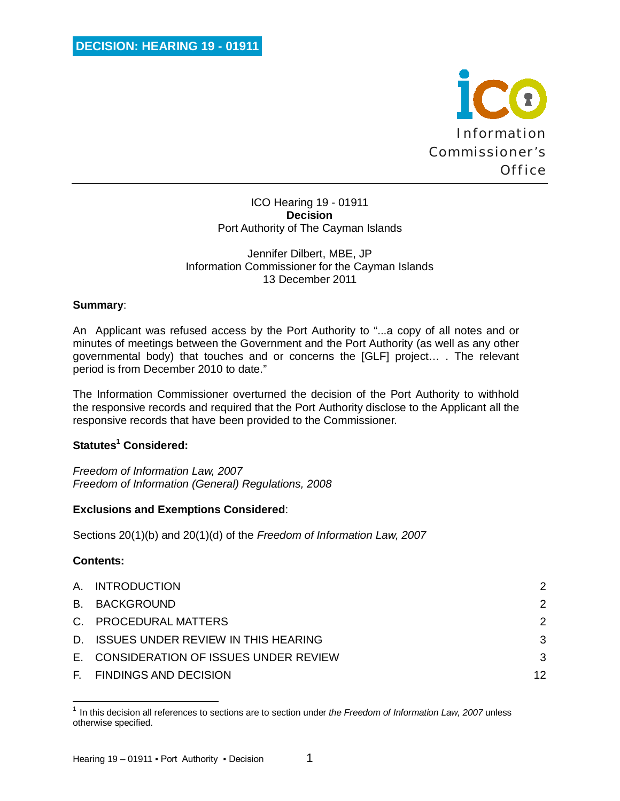

ICO Hearing 19 - 01911 **Decision** Port Authority of The Cayman Islands

### Jennifer Dilbert, MBE, JP Information Commissioner for the Cayman Islands 13 December 2011

## **Summary**:

An Applicant was refused access by the Port Authority to "...a copy of all notes and or minutes of meetings between the Government and the Port Authority (as well as any other governmental body) that touches and or concerns the [GLF] project… . The relevant period is from December 2010 to date."

The Information Commissioner overturned the decision of the Port Authority to withhold the responsive records and required that the Port Authority disclose to the Applicant all the responsive records that have been provided to the Commissioner.

## **Statutes<sup>1</sup> Considered:**

*Freedom of Information Law, 2007 Freedom of Information (General) Regulations, 2008*

## **Exclusions and Exemptions Considered**:

Sections 20(1)(b) and 20(1)(d) of the *Freedom of Information Law, 2007*

## **Contents:**

| A. INTRODUCTION                         | 2             |
|-----------------------------------------|---------------|
| B. BACKGROUND                           | 2             |
| C. PROCEDURAL MATTERS                   | $\mathcal{P}$ |
| D. ISSUES UNDER REVIEW IN THIS HEARING  | 3             |
| E. CONSIDERATION OF ISSUES UNDER REVIEW | 3             |
| F. FINDINGS AND DECISION                | 12            |

 $\overline{\phantom{a}}$ <sup>1</sup> In this decision all references to sections are to section under *the Freedom of Information Law, 2007* unless otherwise specified.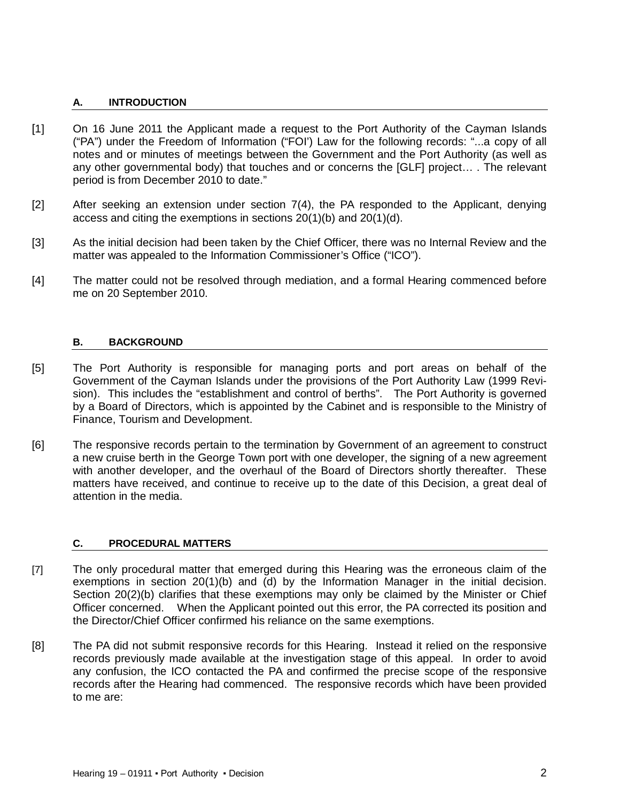### **A. INTRODUCTION**

- [1] On 16 June 2011 the Applicant made a request to the Port Authority of the Cayman Islands ("PA") under the Freedom of Information ("FOI') Law for the following records: "...a copy of all notes and or minutes of meetings between the Government and the Port Authority (as well as any other governmental body) that touches and or concerns the [GLF] project… . The relevant period is from December 2010 to date."
- [2] After seeking an extension under section 7(4), the PA responded to the Applicant, denying access and citing the exemptions in sections 20(1)(b) and 20(1)(d).
- [3] As the initial decision had been taken by the Chief Officer, there was no Internal Review and the matter was appealed to the Information Commissioner's Office ("ICO").
- [4] The matter could not be resolved through mediation, and a formal Hearing commenced before me on 20 September 2010.

### **B. BACKGROUND**

- [5] The Port Authority is responsible for managing ports and port areas on behalf of the Government of the Cayman Islands under the provisions of the Port Authority Law (1999 Revision). This includes the "establishment and control of berths". The Port Authority is governed by a Board of Directors, which is appointed by the Cabinet and is responsible to the Ministry of Finance, Tourism and Development.
- [6] The responsive records pertain to the termination by Government of an agreement to construct a new cruise berth in the George Town port with one developer, the signing of a new agreement with another developer, and the overhaul of the Board of Directors shortly thereafter. These matters have received, and continue to receive up to the date of this Decision, a great deal of attention in the media.

### **C. PROCEDURAL MATTERS**

- [7] The only procedural matter that emerged during this Hearing was the erroneous claim of the exemptions in section 20(1)(b) and (d) by the Information Manager in the initial decision. Section 20(2)(b) clarifies that these exemptions may only be claimed by the Minister or Chief Officer concerned. When the Applicant pointed out this error, the PA corrected its position and the Director/Chief Officer confirmed his reliance on the same exemptions.
- [8] The PA did not submit responsive records for this Hearing. Instead it relied on the responsive records previously made available at the investigation stage of this appeal. In order to avoid any confusion, the ICO contacted the PA and confirmed the precise scope of the responsive records after the Hearing had commenced. The responsive records which have been provided to me are: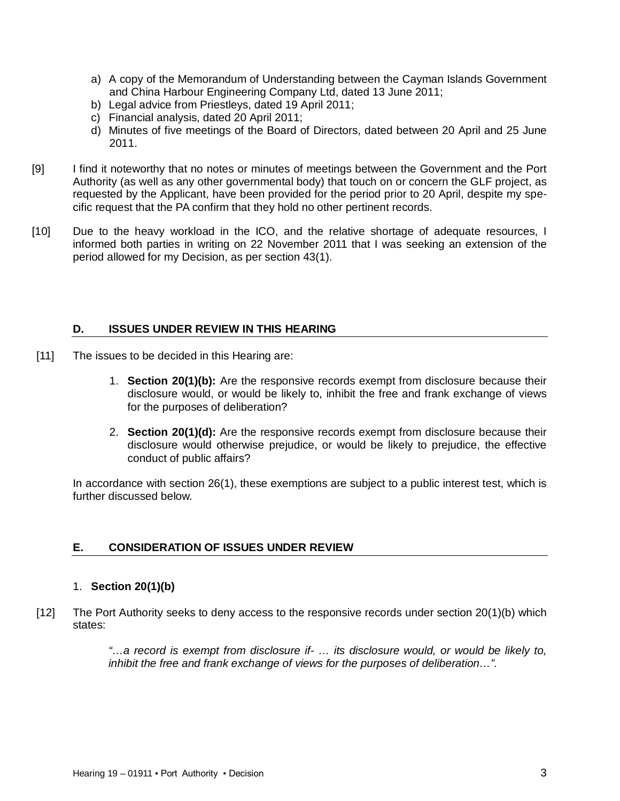- a) A copy of the Memorandum of Understanding between the Cayman Islands Government and China Harbour Engineering Company Ltd, dated 13 June 2011;
- b) Legal advice from Priestleys, dated 19 April 2011;
- c) Financial analysis, dated 20 April 2011;
- d) Minutes of five meetings of the Board of Directors, dated between 20 April and 25 June 2011.
- [9] I find it noteworthy that no notes or minutes of meetings between the Government and the Port Authority (as well as any other governmental body) that touch on or concern the GLF project, as requested by the Applicant, have been provided for the period prior to 20 April, despite my specific request that the PA confirm that they hold no other pertinent records.
- [10] Due to the heavy workload in the ICO, and the relative shortage of adequate resources, I informed both parties in writing on 22 November 2011 that I was seeking an extension of the period allowed for my Decision, as per section 43(1).

# **D. ISSUES UNDER REVIEW IN THIS HEARING**

- [11] The issues to be decided in this Hearing are:
	- 1. **Section 20(1)(b):** Are the responsive records exempt from disclosure because their disclosure would, or would be likely to, inhibit the free and frank exchange of views for the purposes of deliberation?
	- 2. **Section 20(1)(d):** Are the responsive records exempt from disclosure because their disclosure would otherwise prejudice, or would be likely to prejudice, the effective conduct of public affairs?

In accordance with section 26(1), these exemptions are subject to a public interest test, which is further discussed below.

## **E. CONSIDERATION OF ISSUES UNDER REVIEW**

## 1. **Section 20(1)(b)**

[12] The Port Authority seeks to deny access to the responsive records under section 20(1)(b) which states:

> *"…a record is exempt from disclosure if- … its disclosure would, or would be likely to, inhibit the free and frank exchange of views for the purposes of deliberation…".*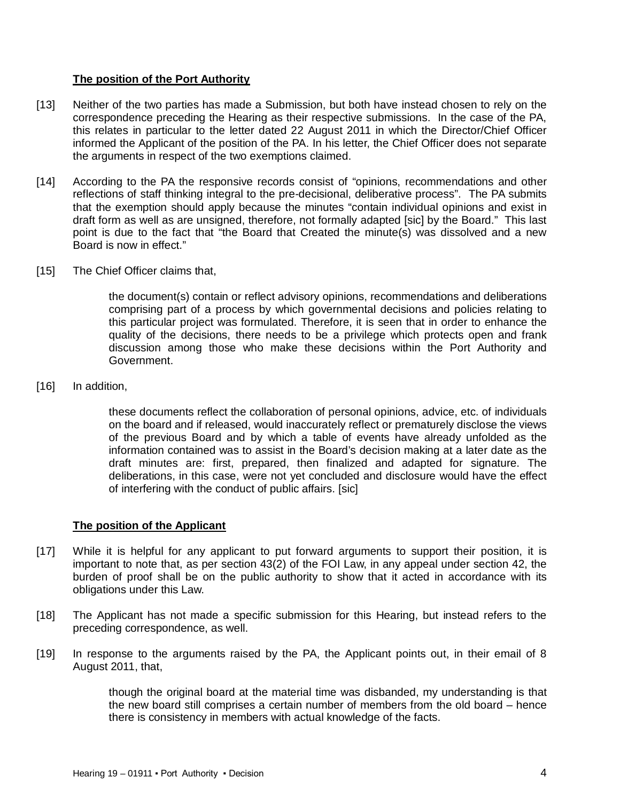# **The position of the Port Authority**

- [13] Neither of the two parties has made a Submission, but both have instead chosen to rely on the correspondence preceding the Hearing as their respective submissions. In the case of the PA, this relates in particular to the letter dated 22 August 2011 in which the Director/Chief Officer informed the Applicant of the position of the PA. In his letter, the Chief Officer does not separate the arguments in respect of the two exemptions claimed.
- [14] According to the PA the responsive records consist of "opinions, recommendations and other reflections of staff thinking integral to the pre-decisional, deliberative process". The PA submits that the exemption should apply because the minutes "contain individual opinions and exist in draft form as well as are unsigned, therefore, not formally adapted [sic] by the Board." This last point is due to the fact that "the Board that Created the minute(s) was dissolved and a new Board is now in effect."
- [15] The Chief Officer claims that,

the document(s) contain or reflect advisory opinions, recommendations and deliberations comprising part of a process by which governmental decisions and policies relating to this particular project was formulated. Therefore, it is seen that in order to enhance the quality of the decisions, there needs to be a privilege which protects open and frank discussion among those who make these decisions within the Port Authority and Government.

[16] In addition,

these documents reflect the collaboration of personal opinions, advice, etc. of individuals on the board and if released, would inaccurately reflect or prematurely disclose the views of the previous Board and by which a table of events have already unfolded as the information contained was to assist in the Board's decision making at a later date as the draft minutes are: first, prepared, then finalized and adapted for signature. The deliberations, in this case, were not yet concluded and disclosure would have the effect of interfering with the conduct of public affairs. [sic]

## **The position of the Applicant**

- [17] While it is helpful for any applicant to put forward arguments to support their position, it is important to note that, as per section 43(2) of the FOI Law, in any appeal under section 42, the burden of proof shall be on the public authority to show that it acted in accordance with its obligations under this Law.
- [18] The Applicant has not made a specific submission for this Hearing, but instead refers to the preceding correspondence, as well.
- [19] In response to the arguments raised by the PA, the Applicant points out, in their email of 8 August 2011, that,

though the original board at the material time was disbanded, my understanding is that the new board still comprises a certain number of members from the old board – hence there is consistency in members with actual knowledge of the facts.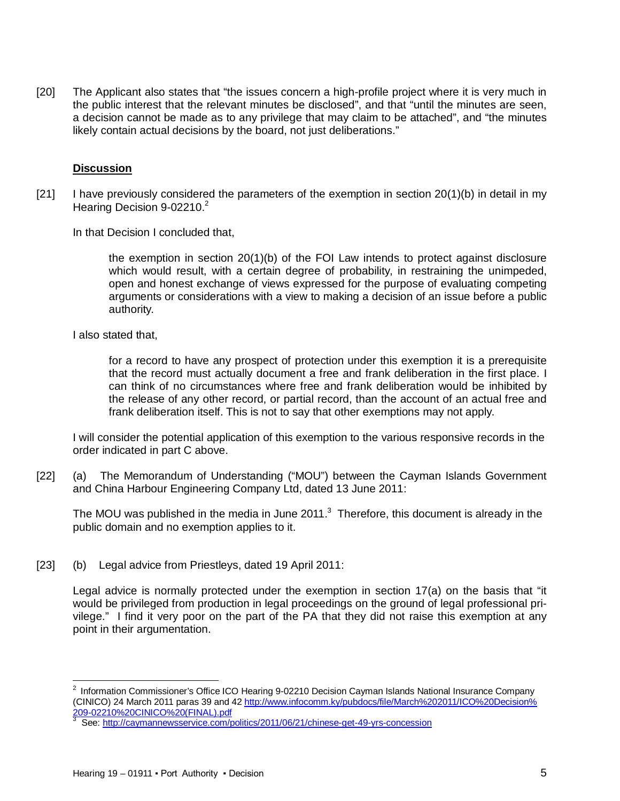[20] The Applicant also states that "the issues concern a high-profile project where it is very much in the public interest that the relevant minutes be disclosed", and that "until the minutes are seen, a decision cannot be made as to any privilege that may claim to be attached", and "the minutes likely contain actual decisions by the board, not just deliberations."

### **Discussion**

 $[21]$  I have previously considered the parameters of the exemption in section 20(1)(b) in detail in my Hearing Decision 9-02210.<sup>2</sup>

In that Decision I concluded that,

the exemption in section 20(1)(b) of the FOI Law intends to protect against disclosure which would result, with a certain degree of probability, in restraining the unimpeded, open and honest exchange of views expressed for the purpose of evaluating competing arguments or considerations with a view to making a decision of an issue before a public authority.

#### I also stated that,

for a record to have any prospect of protection under this exemption it is a prerequisite that the record must actually document a free and frank deliberation in the first place. I can think of no circumstances where free and frank deliberation would be inhibited by the release of any other record, or partial record, than the account of an actual free and frank deliberation itself. This is not to say that other exemptions may not apply.

I will consider the potential application of this exemption to the various responsive records in the order indicated in part C above.

[22] (a) The Memorandum of Understanding ("MOU") between the Cayman Islands Government and China Harbour Engineering Company Ltd, dated 13 June 2011:

The MOU was published in the media in June 2011.<sup>3</sup> Therefore, this document is already in the public domain and no exemption applies to it.

[23] (b) Legal advice from Priestleys, dated 19 April 2011:

Legal advice is normally protected under the exemption in section 17(a) on the basis that "it would be privileged from production in legal proceedings on the ground of legal professional privilege." I find it very poor on the part of the PA that they did not raise this exemption at any point in their argumentation.

 2 Information Commissioner's Office ICO Hearing 9-02210 Decision Cayman Islands National Insurance Company (CINICO) 24 March 2011 paras 39 and 42 http://www.infocomm.ky/pubdocs/file/March%202011/ICO%20Decision% 209-02210%20CINICO%20(FINAL).pdf

<sup>&</sup>lt;sup>3</sup> See: http://caymannewsservice.com/politics/2011/06/21/chinese-get-49-yrs-concession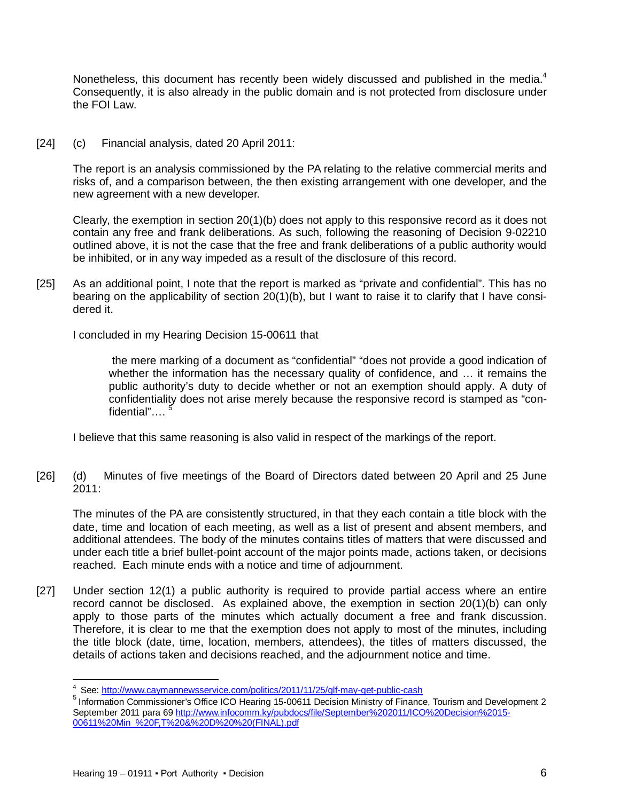Nonetheless, this document has recently been widely discussed and published in the media.<sup>4</sup> Consequently, it is also already in the public domain and is not protected from disclosure under the FOI Law.

[24] (c) Financial analysis, dated 20 April 2011:

The report is an analysis commissioned by the PA relating to the relative commercial merits and risks of, and a comparison between, the then existing arrangement with one developer, and the new agreement with a new developer.

Clearly, the exemption in section 20(1)(b) does not apply to this responsive record as it does not contain any free and frank deliberations. As such, following the reasoning of Decision 9-02210 outlined above, it is not the case that the free and frank deliberations of a public authority would be inhibited, or in any way impeded as a result of the disclosure of this record.

[25] As an additional point, I note that the report is marked as "private and confidential". This has no bearing on the applicability of section 20(1)(b), but I want to raise it to clarify that I have considered it.

I concluded in my Hearing Decision 15-00611 that

the mere marking of a document as "confidential" "does not provide a good indication of whether the information has the necessary quality of confidence, and … it remains the public authority's duty to decide whether or not an exemption should apply. A duty of confidentiality does not arise merely because the responsive record is stamped as "confidential"….<sup>5</sup>

I believe that this same reasoning is also valid in respect of the markings of the report.

[26] (d) Minutes of five meetings of the Board of Directors dated between 20 April and 25 June  $2011$ 

The minutes of the PA are consistently structured, in that they each contain a title block with the date, time and location of each meeting, as well as a list of present and absent members, and additional attendees. The body of the minutes contains titles of matters that were discussed and under each title a brief bullet-point account of the major points made, actions taken, or decisions reached. Each minute ends with a notice and time of adjournment.

[27] Under section 12(1) a public authority is required to provide partial access where an entire record cannot be disclosed. As explained above, the exemption in section 20(1)(b) can only apply to those parts of the minutes which actually document a free and frank discussion. Therefore, it is clear to me that the exemption does not apply to most of the minutes, including the title block (date, time, location, members, attendees), the titles of matters discussed, the details of actions taken and decisions reached, and the adjournment notice and time.

 $\overline{\phantom{a}}$ <sup>4</sup> See: http://www.caymannewsservice.com/politics/2011/11/25/glf-may-get-public-cash

<sup>5</sup> Information Commissioner's Office ICO Hearing 15-00611 Decision Ministry of Finance, Tourism and Development 2 September 2011 para 69 http://www.infocomm.ky/pubdocs/file/September%202011/ICO%20Decision%2015-00611%20Min\_%20F,T%20&%20D%20%20(FINAL).pdf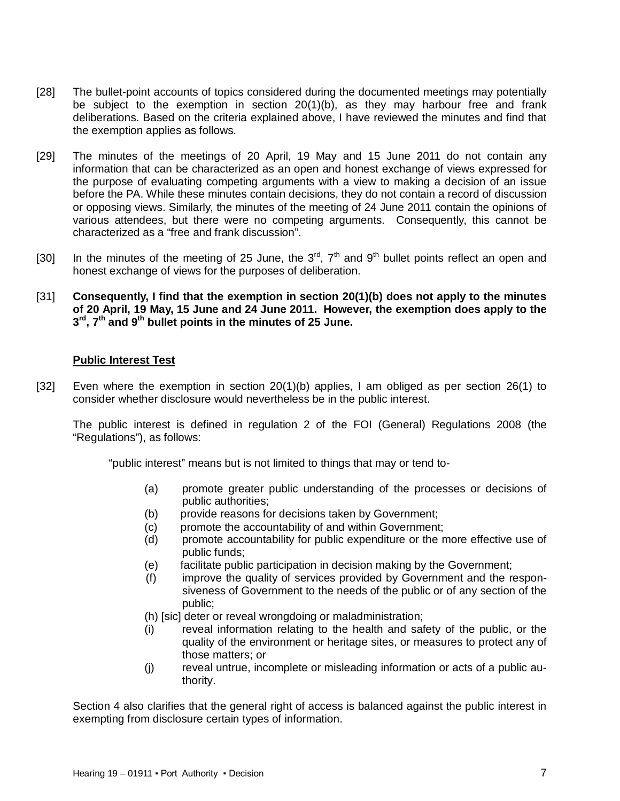- [28] The bullet-point accounts of topics considered during the documented meetings may potentially be subject to the exemption in section 20(1)(b), as they may harbour free and frank deliberations. Based on the criteria explained above, I have reviewed the minutes and find that the exemption applies as follows.
- [29] The minutes of the meetings of 20 April, 19 May and 15 June 2011 do not contain any information that can be characterized as an open and honest exchange of views expressed for the purpose of evaluating competing arguments with a view to making a decision of an issue before the PA. While these minutes contain decisions, they do not contain a record of discussion or opposing views. Similarly, the minutes of the meeting of 24 June 2011 contain the opinions of various attendees, but there were no competing arguments. Consequently, this cannot be characterized as a "free and frank discussion".
- [30] In the minutes of the meeting of 25 June, the 3<sup>rd</sup>,  $7<sup>th</sup>$  and 9<sup>th</sup> bullet points reflect an open and honest exchange of views for the purposes of deliberation.
- [31] **Consequently, I find that the exemption in section 20(1)(b) does not apply to the minutes of 20 April, 19 May, 15 June and 24 June 2011. However, the exemption does apply to the 3 rd, 7th and 9th bullet points in the minutes of 25 June.**

### **Public Interest Test**

[32] Even where the exemption in section 20(1)(b) applies, I am obliged as per section 26(1) to consider whether disclosure would nevertheless be in the public interest.

The public interest is defined in regulation 2 of the FOI (General) Regulations 2008 (the "Regulations"), as follows:

"public interest" means but is not limited to things that may or tend to-

- (a) promote greater public understanding of the processes or decisions of public authorities;
- (b) provide reasons for decisions taken by Government;
- (c) promote the accountability of and within Government;
- (d) promote accountability for public expenditure or the more effective use of public funds;
- (e) facilitate public participation in decision making by the Government;
- (f) improve the quality of services provided by Government and the responsiveness of Government to the needs of the public or of any section of the public;
- (h) [sic] deter or reveal wrongdoing or maladministration;
- (i) reveal information relating to the health and safety of the public, or the quality of the environment or heritage sites, or measures to protect any of those matters; or
- (j) reveal untrue, incomplete or misleading information or acts of a public authority.

Section 4 also clarifies that the general right of access is balanced against the public interest in exempting from disclosure certain types of information.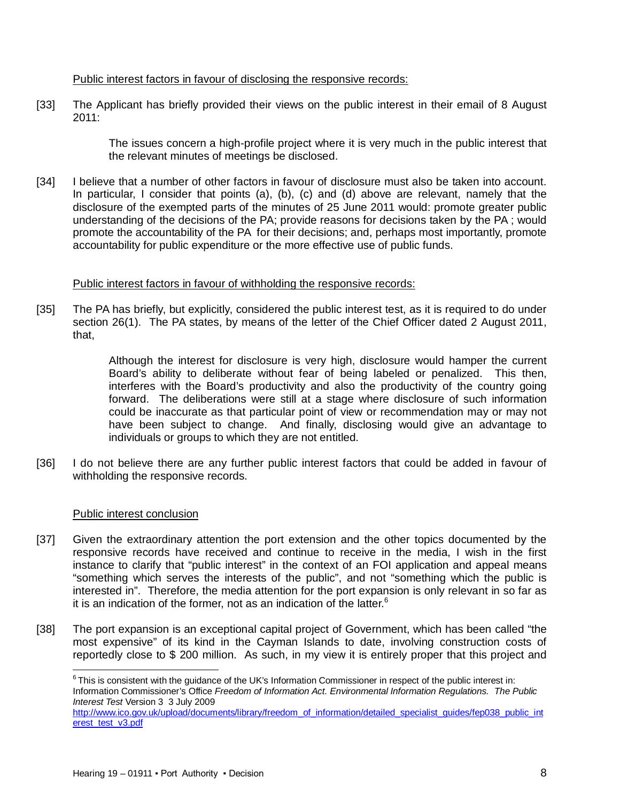### Public interest factors in favour of disclosing the responsive records:

[33] The Applicant has briefly provided their views on the public interest in their email of 8 August 2011:

> The issues concern a high-profile project where it is very much in the public interest that the relevant minutes of meetings be disclosed.

[34] I believe that a number of other factors in favour of disclosure must also be taken into account. In particular, I consider that points (a), (b), (c) and (d) above are relevant, namely that the disclosure of the exempted parts of the minutes of 25 June 2011 would: promote greater public understanding of the decisions of the PA; provide reasons for decisions taken by the PA ; would promote the accountability of the PA for their decisions; and, perhaps most importantly, promote accountability for public expenditure or the more effective use of public funds.

### Public interest factors in favour of withholding the responsive records:

[35] The PA has briefly, but explicitly, considered the public interest test, as it is required to do under section 26(1). The PA states, by means of the letter of the Chief Officer dated 2 August 2011, that,

> Although the interest for disclosure is very high, disclosure would hamper the current Board's ability to deliberate without fear of being labeled or penalized. This then, interferes with the Board's productivity and also the productivity of the country going forward. The deliberations were still at a stage where disclosure of such information could be inaccurate as that particular point of view or recommendation may or may not have been subject to change. And finally, disclosing would give an advantage to individuals or groups to which they are not entitled.

[36] I do not believe there are any further public interest factors that could be added in favour of withholding the responsive records.

## Public interest conclusion

 $\overline{\phantom{a}}$ 

- [37] Given the extraordinary attention the port extension and the other topics documented by the responsive records have received and continue to receive in the media, I wish in the first instance to clarify that "public interest" in the context of an FOI application and appeal means "something which serves the interests of the public", and not "something which the public is interested in". Therefore, the media attention for the port expansion is only relevant in so far as it is an indication of the former, not as an indication of the latter.<sup>6</sup>
- [38] The port expansion is an exceptional capital project of Government, which has been called "the most expensive" of its kind in the Cayman Islands to date, involving construction costs of reportedly close to \$ 200 million. As such, in my view it is entirely proper that this project and

 $6$ This is consistent with the guidance of the UK's Information Commissioner in respect of the public interest in: Information Commissioner's Office *Freedom of Information Act. Environmental Information Regulations. The Public Interest Test* Version 3 3 July 2009

http://www.ico.gov.uk/upload/documents/library/freedom\_of\_information/detailed\_specialist\_guides/fep038\_public\_int erest\_test\_v3.pdf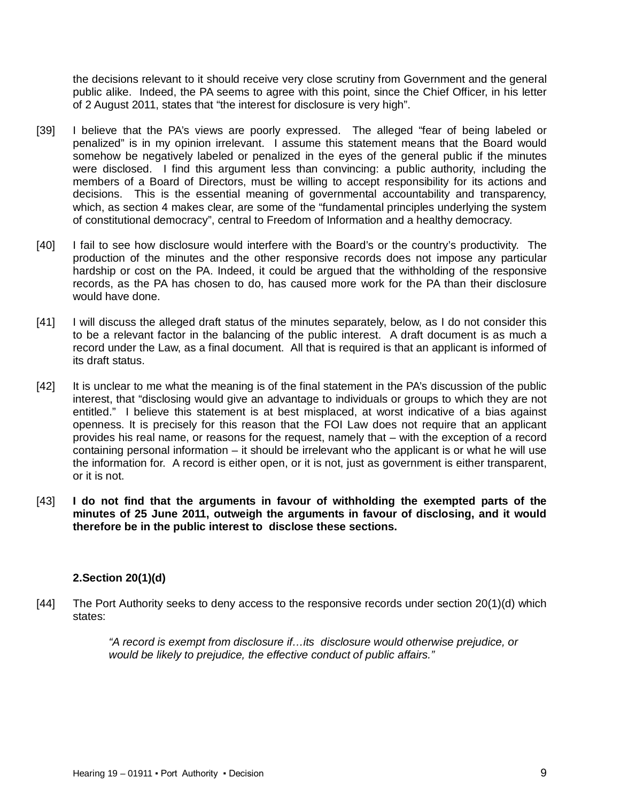the decisions relevant to it should receive very close scrutiny from Government and the general public alike. Indeed, the PA seems to agree with this point, since the Chief Officer, in his letter of 2 August 2011, states that "the interest for disclosure is very high".

- [39] I believe that the PA's views are poorly expressed. The alleged "fear of being labeled or penalized" is in my opinion irrelevant. I assume this statement means that the Board would somehow be negatively labeled or penalized in the eyes of the general public if the minutes were disclosed. I find this argument less than convincing: a public authority, including the members of a Board of Directors, must be willing to accept responsibility for its actions and decisions. This is the essential meaning of governmental accountability and transparency, which, as section 4 makes clear, are some of the "fundamental principles underlying the system of constitutional democracy", central to Freedom of Information and a healthy democracy.
- [40] I fail to see how disclosure would interfere with the Board's or the country's productivity. The production of the minutes and the other responsive records does not impose any particular hardship or cost on the PA. Indeed, it could be argued that the withholding of the responsive records, as the PA has chosen to do, has caused more work for the PA than their disclosure would have done.
- [41] I will discuss the alleged draft status of the minutes separately, below, as I do not consider this to be a relevant factor in the balancing of the public interest. A draft document is as much a record under the Law, as a final document. All that is required is that an applicant is informed of its draft status.
- [42] It is unclear to me what the meaning is of the final statement in the PA's discussion of the public interest, that "disclosing would give an advantage to individuals or groups to which they are not entitled." I believe this statement is at best misplaced, at worst indicative of a bias against openness. It is precisely for this reason that the FOI Law does not require that an applicant provides his real name, or reasons for the request, namely that – with the exception of a record containing personal information – it should be irrelevant who the applicant is or what he will use the information for. A record is either open, or it is not, just as government is either transparent, or it is not.
- [43] **I do not find that the arguments in favour of withholding the exempted parts of the minutes of 25 June 2011, outweigh the arguments in favour of disclosing, and it would therefore be in the public interest to disclose these sections.**

## **2.Section 20(1)(d)**

[44] The Port Authority seeks to deny access to the responsive records under section 20(1)(d) which states:

> *"A record is exempt from disclosure if…its disclosure would otherwise prejudice, or would be likely to prejudice, the effective conduct of public affairs."*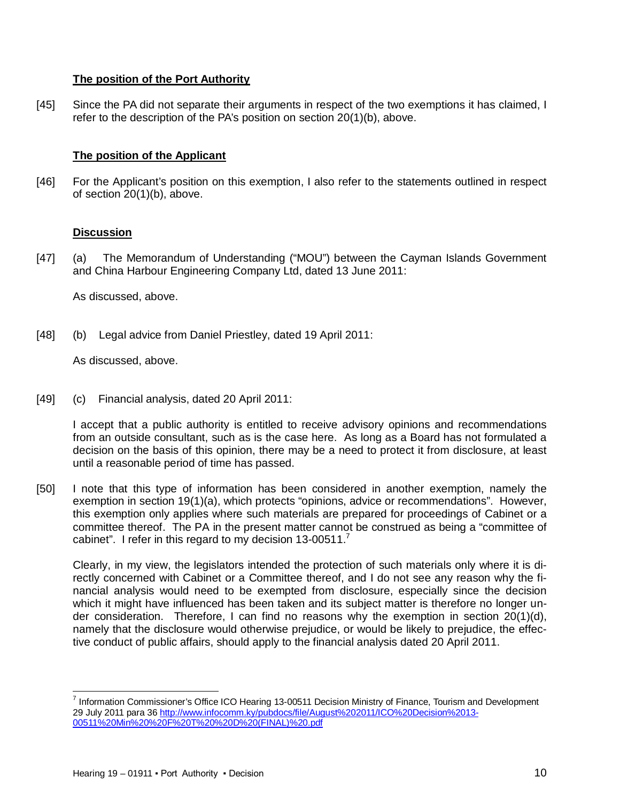# **The position of the Port Authority**

[45] Since the PA did not separate their arguments in respect of the two exemptions it has claimed, I refer to the description of the PA's position on section 20(1)(b), above.

# **The position of the Applicant**

[46] For the Applicant's position on this exemption, I also refer to the statements outlined in respect of section 20(1)(b), above.

## **Discussion**

[47] (a) The Memorandum of Understanding ("MOU") between the Cayman Islands Government and China Harbour Engineering Company Ltd, dated 13 June 2011:

As discussed, above.

[48] (b) Legal advice from Daniel Priestley, dated 19 April 2011:

As discussed, above.

[49] (c) Financial analysis, dated 20 April 2011:

I accept that a public authority is entitled to receive advisory opinions and recommendations from an outside consultant, such as is the case here. As long as a Board has not formulated a decision on the basis of this opinion, there may be a need to protect it from disclosure, at least until a reasonable period of time has passed.

[50] I note that this type of information has been considered in another exemption, namely the exemption in section 19(1)(a), which protects "opinions, advice or recommendations". However, this exemption only applies where such materials are prepared for proceedings of Cabinet or a committee thereof. The PA in the present matter cannot be construed as being a "committee of cabinet". I refer in this regard to my decision 13-00511.<sup>7</sup>

Clearly, in my view, the legislators intended the protection of such materials only where it is directly concerned with Cabinet or a Committee thereof, and I do not see any reason why the financial analysis would need to be exempted from disclosure, especially since the decision which it might have influenced has been taken and its subject matter is therefore no longer under consideration. Therefore, I can find no reasons why the exemption in section 20(1)(d), namely that the disclosure would otherwise prejudice, or would be likely to prejudice, the effective conduct of public affairs, should apply to the financial analysis dated 20 April 2011.

 $\overline{a}$ <sup>7</sup> Information Commissioner's Office ICO Hearing 13-00511 Decision Ministry of Finance, Tourism and Development 29 July 2011 para 36 http://www.infocomm.ky/pubdocs/file/August%202011/ICO%20Decision%2013- 00511%20Min%20%20F%20T%20%20D%20(FINAL)%20.pdf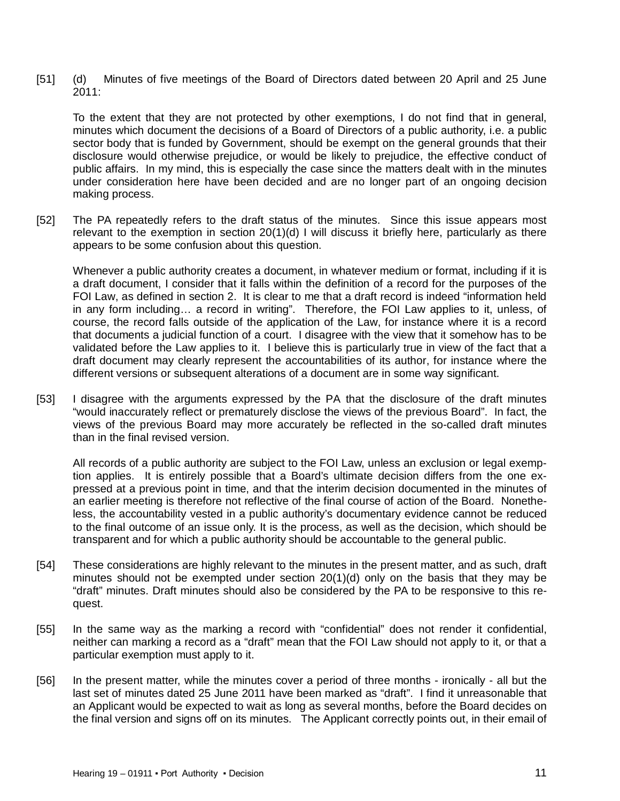[51] (d) Minutes of five meetings of the Board of Directors dated between 20 April and 25 June  $2011$ 

To the extent that they are not protected by other exemptions, I do not find that in general, minutes which document the decisions of a Board of Directors of a public authority, i.e. a public sector body that is funded by Government, should be exempt on the general grounds that their disclosure would otherwise prejudice, or would be likely to prejudice, the effective conduct of public affairs. In my mind, this is especially the case since the matters dealt with in the minutes under consideration here have been decided and are no longer part of an ongoing decision making process.

[52] The PA repeatedly refers to the draft status of the minutes. Since this issue appears most relevant to the exemption in section 20(1)(d) I will discuss it briefly here, particularly as there appears to be some confusion about this question.

Whenever a public authority creates a document, in whatever medium or format, including if it is a draft document, I consider that it falls within the definition of a record for the purposes of the FOI Law, as defined in section 2. It is clear to me that a draft record is indeed "information held in any form including… a record in writing". Therefore, the FOI Law applies to it, unless, of course, the record falls outside of the application of the Law, for instance where it is a record that documents a judicial function of a court. I disagree with the view that it somehow has to be validated before the Law applies to it. I believe this is particularly true in view of the fact that a draft document may clearly represent the accountabilities of its author, for instance where the different versions or subsequent alterations of a document are in some way significant.

[53] I disagree with the arguments expressed by the PA that the disclosure of the draft minutes "would inaccurately reflect or prematurely disclose the views of the previous Board". In fact, the views of the previous Board may more accurately be reflected in the so-called draft minutes than in the final revised version.

All records of a public authority are subject to the FOI Law, unless an exclusion or legal exemption applies. It is entirely possible that a Board's ultimate decision differs from the one expressed at a previous point in time, and that the interim decision documented in the minutes of an earlier meeting is therefore not reflective of the final course of action of the Board. Nonetheless, the accountability vested in a public authority's documentary evidence cannot be reduced to the final outcome of an issue only. It is the process, as well as the decision, which should be transparent and for which a public authority should be accountable to the general public.

- [54] These considerations are highly relevant to the minutes in the present matter, and as such, draft minutes should not be exempted under section 20(1)(d) only on the basis that they may be "draft" minutes. Draft minutes should also be considered by the PA to be responsive to this request.
- [55] In the same way as the marking a record with "confidential" does not render it confidential, neither can marking a record as a "draft" mean that the FOI Law should not apply to it, or that a particular exemption must apply to it.
- [56] In the present matter, while the minutes cover a period of three months ironically all but the last set of minutes dated 25 June 2011 have been marked as "draft". I find it unreasonable that an Applicant would be expected to wait as long as several months, before the Board decides on the final version and signs off on its minutes. The Applicant correctly points out, in their email of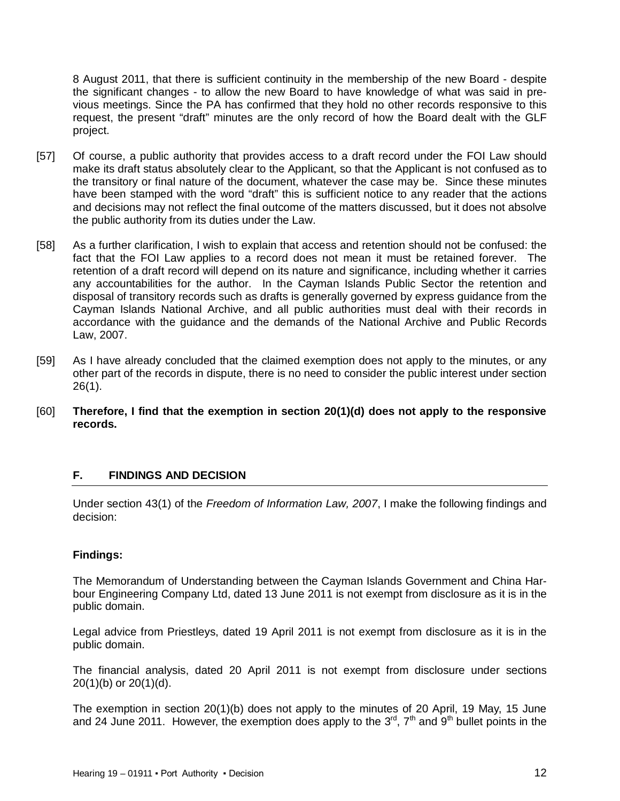8 August 2011, that there is sufficient continuity in the membership of the new Board - despite the significant changes - to allow the new Board to have knowledge of what was said in previous meetings. Since the PA has confirmed that they hold no other records responsive to this request, the present "draft" minutes are the only record of how the Board dealt with the GLF project.

- [57] Of course, a public authority that provides access to a draft record under the FOI Law should make its draft status absolutely clear to the Applicant, so that the Applicant is not confused as to the transitory or final nature of the document, whatever the case may be. Since these minutes have been stamped with the word "draft" this is sufficient notice to any reader that the actions and decisions may not reflect the final outcome of the matters discussed, but it does not absolve the public authority from its duties under the Law.
- [58] As a further clarification, I wish to explain that access and retention should not be confused: the fact that the FOI Law applies to a record does not mean it must be retained forever. The retention of a draft record will depend on its nature and significance, including whether it carries any accountabilities for the author. In the Cayman Islands Public Sector the retention and disposal of transitory records such as drafts is generally governed by express guidance from the Cayman Islands National Archive, and all public authorities must deal with their records in accordance with the guidance and the demands of the National Archive and Public Records Law, 2007.
- [59] As I have already concluded that the claimed exemption does not apply to the minutes, or any other part of the records in dispute, there is no need to consider the public interest under section 26(1).
- [60] **Therefore, I find that the exemption in section 20(1)(d) does not apply to the responsive records.**

# **F. FINDINGS AND DECISION**

Under section 43(1) of the *Freedom of Information Law, 2007*, I make the following findings and decision:

## **Findings:**

The Memorandum of Understanding between the Cayman Islands Government and China Harbour Engineering Company Ltd, dated 13 June 2011 is not exempt from disclosure as it is in the public domain.

Legal advice from Priestleys, dated 19 April 2011 is not exempt from disclosure as it is in the public domain.

The financial analysis, dated 20 April 2011 is not exempt from disclosure under sections 20(1)(b) or 20(1)(d).

The exemption in section 20(1)(b) does not apply to the minutes of 20 April, 19 May, 15 June and 24 June 2011. However, the exemption does apply to the  $3^{rd}$ ,  $7^{th}$  and  $9^{th}$  bullet points in the